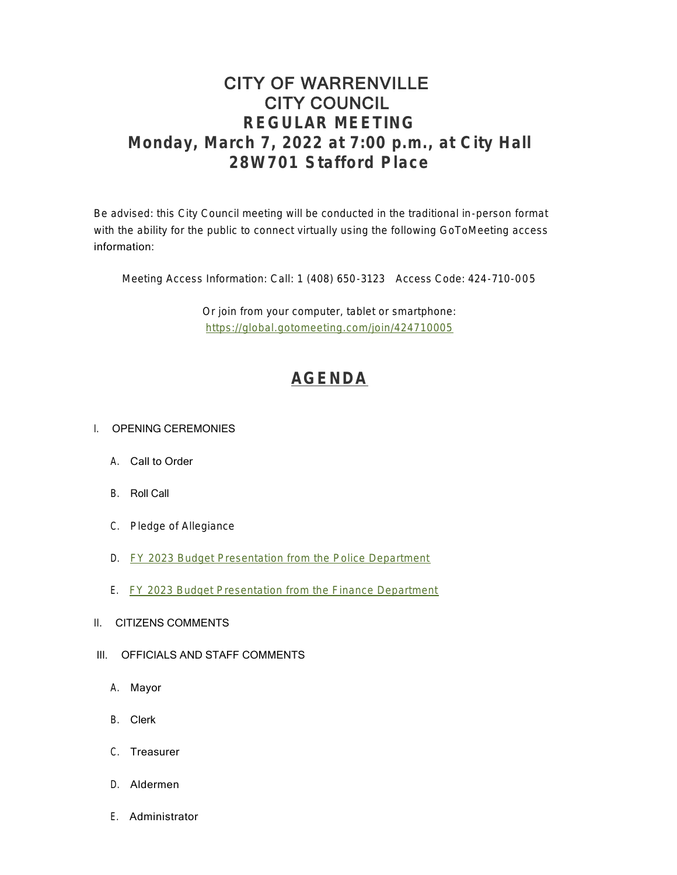## CITY OF WARRENVILLE CITY COUNCIL **REGULAR MEETING Monday, March 7, 2022 at 7:00 p.m., at City Hall 28W701 Stafford Place**

Be advised: this City Council meeting will be conducted in the traditional in-person format with the ability for the public to connect virtually using the following GoToMeeting access information:

Meeting Access Information: Call: 1 (408) 650-3123 Access Code: 424-710-005

[Or join from your computer, tablet or smartphone:](https://global.gotomeeting.com/join/424710005) https://global.gotomeeting.com/join/424710005

# **[AGENDA](https://www.warrenville.il.us/DocumentCenter/View/18801/03-07-22-Agenda-Packet-PDF)**

#### I. OPENING CEREMONIES

- A. Call to Order
- B. Roll Call
- C. Pledge of Allegiance
- D. [FY 2023 Budget Presentation from the Police Department](https://www.warrenville.il.us/DocumentCenter/View/18804/ID-FY-23-Police-Budget-Presentation-PDF)
- E. [FY 2023 Budget Presentation from the Finance Department](https://www.warrenville.il.us/DocumentCenter/View/18805/IE-FY-23-Finance-Budget-Presentation-PDF)
- II. CITIZENS COMMENTS
- III. OFFICIALS AND STAFF COMMENTS
	- A. Mayor
	- B. Clerk
	- C. Treasurer
	- D. Aldermen
	- E. Administrator